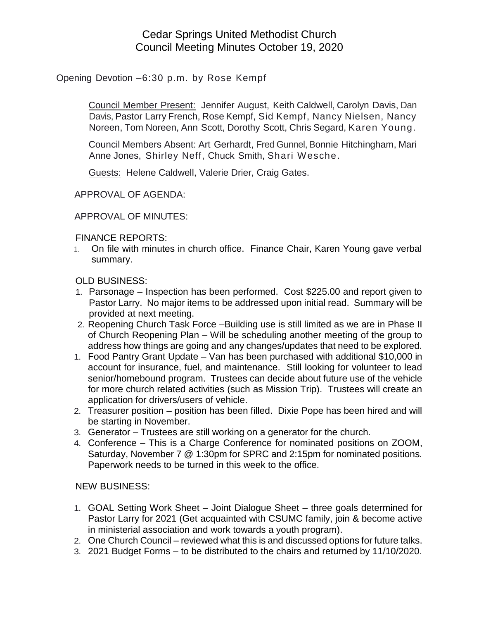## Cedar Springs United Methodist Church Council Meeting Minutes October 19, 2020

Opening Devotion –6:30 p.m. by Rose Kempf

Council Member Present: Jennifer August, Keith Caldwell, Carolyn Davis, Dan Davis, Pastor Larry French, Rose Kempf, Sid Kempf, Nancy Nielsen, Nancy Noreen, Tom Noreen, Ann Scott, Dorothy Scott, Chris Segard, Karen Young.

Council Members Absent: Art Gerhardt, Fred Gunnel, Bonnie Hitchingham, Mari Anne Jones, Shirley Neff, Chuck Smith, Shari Wesche.

Guests: Helene Caldwell, Valerie Drier, Craig Gates.

APPROVAL OF AGENDA:

APPROVAL OF MINUTES:

FINANCE REPORTS:

1. On file with minutes in church office. Finance Chair, Karen Young gave verbal summary.

OLD BUSINESS:

- 1. Parsonage Inspection has been performed. Cost \$225.00 and report given to Pastor Larry. No major items to be addressed upon initial read. Summary will be provided at next meeting.
- 2. Reopening Church Task Force –Building use is still limited as we are in Phase II of Church Reopening Plan – Will be scheduling another meeting of the group to address how things are going and any changes/updates that need to be explored.
- 1. Food Pantry Grant Update Van has been purchased with additional \$10,000 in account for insurance, fuel, and maintenance. Still looking for volunteer to lead senior/homebound program. Trustees can decide about future use of the vehicle for more church related activities (such as Mission Trip). Trustees will create an application for drivers/users of vehicle.
- 2. Treasurer position position has been filled. Dixie Pope has been hired and will be starting in November.
- 3. Generator Trustees are still working on a generator for the church.
- 4. Conference This is a Charge Conference for nominated positions on ZOOM, Saturday, November 7 @ 1:30pm for SPRC and 2:15pm for nominated positions. Paperwork needs to be turned in this week to the office.

NEW BUSINESS:

- 1. GOAL Setting Work Sheet Joint Dialogue Sheet three goals determined for Pastor Larry for 2021 (Get acquainted with CSUMC family, join & become active in ministerial association and work towards a youth program).
- 2. One Church Council reviewed what this is and discussed options for future talks.
- 3. 2021 Budget Forms to be distributed to the chairs and returned by 11/10/2020.